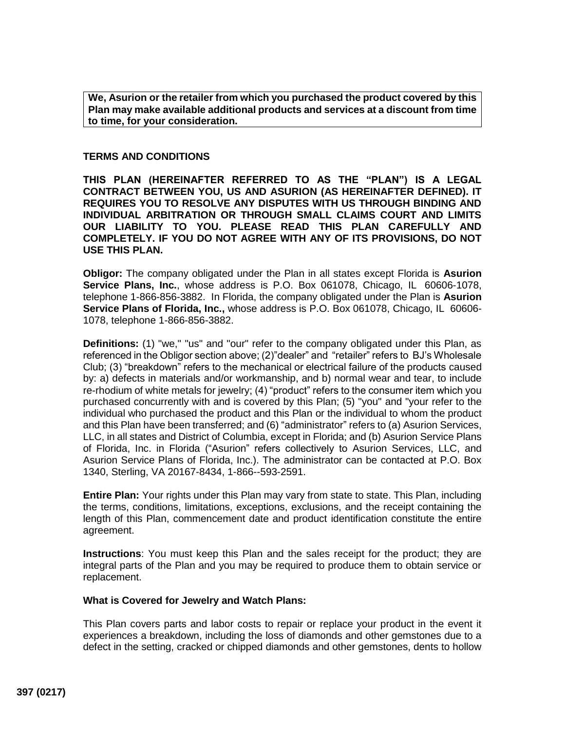**We, Asurion or the retailer from which you purchased the product covered by this Plan may make available additional products and services at a discount from time to time, for your consideration.**

## **TERMS AND CONDITIONS**

**THIS PLAN (HEREINAFTER REFERRED TO AS THE "PLAN") IS A LEGAL CONTRACT BETWEEN YOU, US AND ASURION (AS HEREINAFTER DEFINED). IT REQUIRES YOU TO RESOLVE ANY DISPUTES WITH US THROUGH BINDING AND INDIVIDUAL ARBITRATION OR THROUGH SMALL CLAIMS COURT AND LIMITS OUR LIABILITY TO YOU. PLEASE READ THIS PLAN CAREFULLY AND COMPLETELY. IF YOU DO NOT AGREE WITH ANY OF ITS PROVISIONS, DO NOT USE THIS PLAN.**

**Obligor:** The company obligated under the Plan in all states except Florida is **Asurion Service Plans, Inc.**, whose address is P.O. Box 061078, Chicago, IL 60606-1078, telephone 1-866-856-3882. In Florida, the company obligated under the Plan is **Asurion Service Plans of Florida, Inc.,** whose address is P.O. Box 061078, Chicago, IL 60606- 1078, telephone 1-866-856-3882.

**Definitions:** (1) "we," "us" and "our" refer to the company obligated under this Plan, as referenced in the Obligor section above; (2)"dealer" and "retailer" refers to BJ's Wholesale Club; (3) "breakdown" refers to the mechanical or electrical failure of the products caused by: a) defects in materials and/or workmanship, and b) normal wear and tear, to include re-rhodium of white metals for jewelry; (4) "product" refers to the consumer item which you purchased concurrently with and is covered by this Plan; (5) "you" and "your refer to the individual who purchased the product and this Plan or the individual to whom the product and this Plan have been transferred; and (6) "administrator" refers to (a) Asurion Services, LLC, in all states and District of Columbia, except in Florida; and (b) Asurion Service Plans of Florida, Inc. in Florida ("Asurion" refers collectively to Asurion Services, LLC, and Asurion Service Plans of Florida, Inc.). The administrator can be contacted at P.O. Box 1340, Sterling, VA 20167-8434, 1-866--593-2591.

**Entire Plan:** Your rights under this Plan may vary from state to state. This Plan, including the terms, conditions, limitations, exceptions, exclusions, and the receipt containing the length of this Plan, commencement date and product identification constitute the entire agreement.

**Instructions**: You must keep this Plan and the sales receipt for the product; they are integral parts of the Plan and you may be required to produce them to obtain service or replacement.

## **What is Covered for Jewelry and Watch Plans:**

This Plan covers parts and labor costs to repair or replace your product in the event it experiences a breakdown, including the loss of diamonds and other gemstones due to a defect in the setting, cracked or chipped diamonds and other gemstones, dents to hollow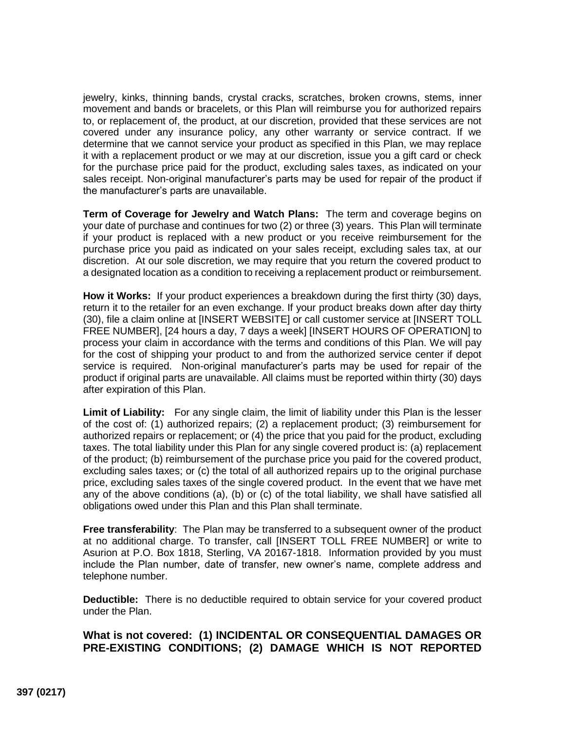jewelry, kinks, thinning bands, crystal cracks, scratches, broken crowns, stems, inner movement and bands or bracelets, or this Plan will reimburse you for authorized repairs to, or replacement of, the product, at our discretion, provided that these services are not covered under any insurance policy, any other warranty or service contract. If we determine that we cannot service your product as specified in this Plan, we may replace it with a replacement product or we may at our discretion, issue you a gift card or check for the purchase price paid for the product, excluding sales taxes, as indicated on your sales receipt. Non-original manufacturer's parts may be used for repair of the product if the manufacturer's parts are unavailable.

**Term of Coverage for Jewelry and Watch Plans:** The term and coverage begins on your date of purchase and continues for two (2) or three (3) years. This Plan will terminate if your product is replaced with a new product or you receive reimbursement for the purchase price you paid as indicated on your sales receipt, excluding sales tax, at our discretion. At our sole discretion, we may require that you return the covered product to a designated location as a condition to receiving a replacement product or reimbursement.

**How it Works:** If your product experiences a breakdown during the first thirty (30) days, return it to the retailer for an even exchange. If your product breaks down after day thirty (30), file a claim online at [\[INSERT](http://www.asurion.com/bjs) WEBSITE] or call customer service at [INSERT TOLL FREE NUMBER], [24 hours a day, 7 days a week] [INSERT HOURS OF OPERATION] to process your claim in accordance with the terms and conditions of this Plan. We will pay for the cost of shipping your product to and from the authorized service center if depot service is required. Non-original manufacturer's parts may be used for repair of the product if original parts are unavailable. All claims must be reported within thirty (30) days after expiration of this Plan.

**Limit of Liability:** For any single claim, the limit of liability under this Plan is the lesser of the cost of: (1) authorized repairs; (2) a replacement product; (3) reimbursement for authorized repairs or replacement; or (4) the price that you paid for the product, excluding taxes. The total liability under this Plan for any single covered product is: (a) replacement of the product; (b) reimbursement of the purchase price you paid for the covered product, excluding sales taxes; or (c) the total of all authorized repairs up to the original purchase price, excluding sales taxes of the single covered product. In the event that we have met any of the above conditions (a), (b) or (c) of the total liability, we shall have satisfied all obligations owed under this Plan and this Plan shall terminate.

**Free transferability**: The Plan may be transferred to a subsequent owner of the product at no additional charge. To transfer, call [INSERT TOLL FREE NUMBER] or write to Asurion at P.O. Box 1818, Sterling, VA 20167-1818. Information provided by you must include the Plan number, date of transfer, new owner's name, complete address and telephone number.

**Deductible:** There is no deductible required to obtain service for your covered product under the Plan.

# **What is not covered: (1) INCIDENTAL OR CONSEQUENTIAL DAMAGES OR PRE-EXISTING CONDITIONS; (2) DAMAGE WHICH IS NOT REPORTED**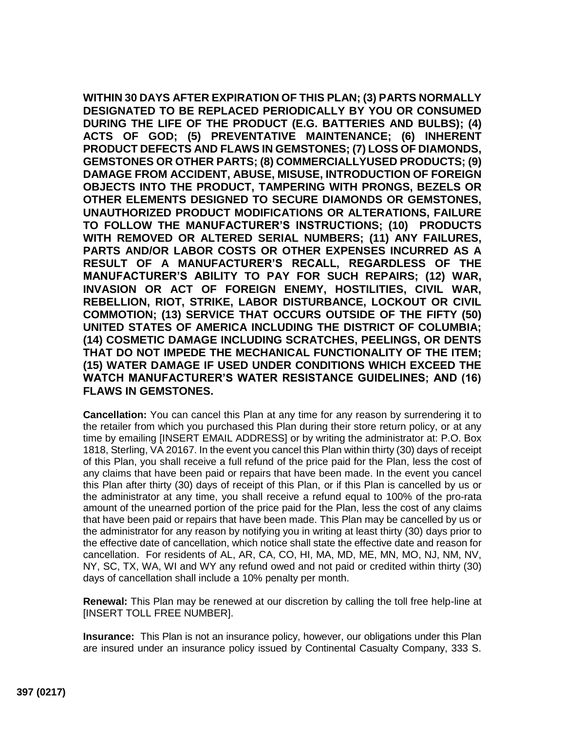**WITHIN 30 DAYS AFTER EXPIRATION OF THIS PLAN; (3) PARTS NORMALLY DESIGNATED TO BE REPLACED PERIODICALLY BY YOU OR CONSUMED DURING THE LIFE OF THE PRODUCT (E.G. BATTERIES AND BULBS); (4) ACTS OF GOD; (5) PREVENTATIVE MAINTENANCE; (6) INHERENT PRODUCT DEFECTS AND FLAWS IN GEMSTONES; (7) LOSS OF DIAMONDS, GEMSTONES OR OTHER PARTS; (8) COMMERCIALLYUSED PRODUCTS; (9) DAMAGE FROM ACCIDENT, ABUSE, MISUSE, INTRODUCTION OF FOREIGN OBJECTS INTO THE PRODUCT, TAMPERING WITH PRONGS, BEZELS OR OTHER ELEMENTS DESIGNED TO SECURE DIAMONDS OR GEMSTONES, UNAUTHORIZED PRODUCT MODIFICATIONS OR ALTERATIONS, FAILURE TO FOLLOW THE MANUFACTURER'S INSTRUCTIONS; (10) PRODUCTS WITH REMOVED OR ALTERED SERIAL NUMBERS; (11) ANY FAILURES, PARTS AND/OR LABOR COSTS OR OTHER EXPENSES INCURRED AS A RESULT OF A MANUFACTURER'S RECALL, REGARDLESS OF THE MANUFACTURER'S ABILITY TO PAY FOR SUCH REPAIRS; (12) WAR, INVASION OR ACT OF FOREIGN ENEMY, HOSTILITIES, CIVIL WAR, REBELLION, RIOT, STRIKE, LABOR DISTURBANCE, LOCKOUT OR CIVIL COMMOTION; (13) SERVICE THAT OCCURS OUTSIDE OF THE FIFTY (50) UNITED STATES OF AMERICA INCLUDING THE DISTRICT OF COLUMBIA; (14) COSMETIC DAMAGE INCLUDING SCRATCHES, PEELINGS, OR DENTS THAT DO NOT IMPEDE THE MECHANICAL FUNCTIONALITY OF THE ITEM; (15) WATER DAMAGE IF USED UNDER CONDITIONS WHICH EXCEED THE WATCH MANUFACTURER'S WATER RESISTANCE GUIDELINES; AND (16) FLAWS IN GEMSTONES.**

**Cancellation:** You can cancel this Plan at any time for any reason by surrendering it to the retailer from which you purchased this Plan during their store return policy, or at any time by emailing [INSERT EMAIL ADDRESS] or by writing the administrator at: P.O. Box 1818, Sterling, VA 20167. In the event you cancel this Plan within thirty (30) days of receipt of this Plan, you shall receive a full refund of the price paid for the Plan, less the cost of any claims that have been paid or repairs that have been made. In the event you cancel this Plan after thirty (30) days of receipt of this Plan, or if this Plan is cancelled by us or the administrator at any time, you shall receive a refund equal to 100% of the pro-rata amount of the unearned portion of the price paid for the Plan, less the cost of any claims that have been paid or repairs that have been made. This Plan may be cancelled by us or the administrator for any reason by notifying you in writing at least thirty (30) days prior to the effective date of cancellation, which notice shall state the effective date and reason for cancellation. For residents of AL, AR, CA, CO, HI, MA, MD, ME, MN, MO, NJ, NM, NV, NY, SC, TX, WA, WI and WY any refund owed and not paid or credited within thirty (30) days of cancellation shall include a 10% penalty per month.

**Renewal:** This Plan may be renewed at our discretion by calling the toll free help-line at [INSERT TOLL FREE NUMBER].

**Insurance:** This Plan is not an insurance policy, however, our obligations under this Plan are insured under an insurance policy issued by Continental Casualty Company, 333 S.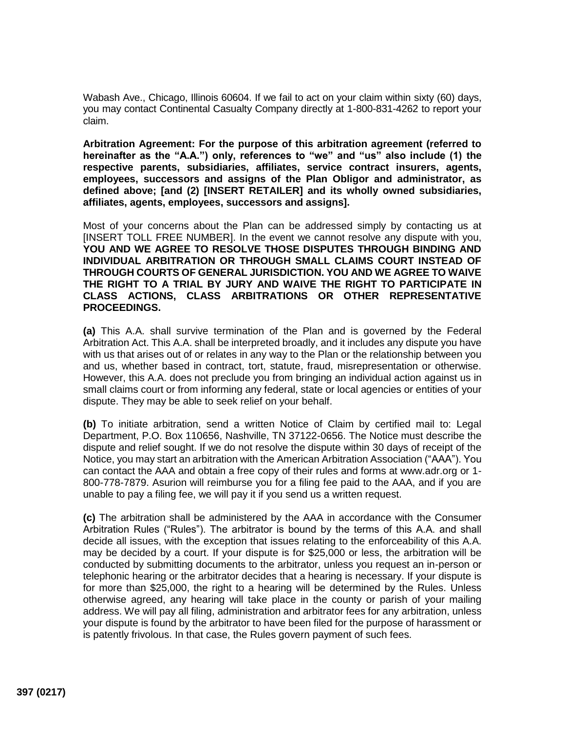Wabash Ave., Chicago, Illinois 60604. If we fail to act on your claim within sixty (60) days, you may contact Continental Casualty Company directly at 1-800-831-4262 to report your claim.

**Arbitration Agreement: For the purpose of this arbitration agreement (referred to hereinafter as the "A.A.") only, references to "we" and "us" also include (1) the respective parents, subsidiaries, affiliates, service contract insurers, agents, employees, successors and assigns of the Plan Obligor and administrator, as defined above; [and (2) [INSERT RETAILER] and its wholly owned subsidiaries, affiliates, agents, employees, successors and assigns].**

Most of your concerns about the Plan can be addressed simply by contacting us at [INSERT TOLL FREE NUMBER]. In the event we cannot resolve any dispute with you, **YOU AND WE AGREE TO RESOLVE THOSE DISPUTES THROUGH BINDING AND INDIVIDUAL ARBITRATION OR THROUGH SMALL CLAIMS COURT INSTEAD OF THROUGH COURTS OF GENERAL JURISDICTION. YOU AND WE AGREE TO WAIVE THE RIGHT TO A TRIAL BY JURY AND WAIVE THE RIGHT TO PARTICIPATE IN CLASS ACTIONS, CLASS ARBITRATIONS OR OTHER REPRESENTATIVE PROCEEDINGS.** 

**(a)** This A.A. shall survive termination of the Plan and is governed by the Federal Arbitration Act. This A.A. shall be interpreted broadly, and it includes any dispute you have with us that arises out of or relates in any way to the Plan or the relationship between you and us, whether based in contract, tort, statute, fraud, misrepresentation or otherwise. However, this A.A. does not preclude you from bringing an individual action against us in small claims court or from informing any federal, state or local agencies or entities of your dispute. They may be able to seek relief on your behalf.

**(b)** To initiate arbitration, send a written Notice of Claim by certified mail to: Legal Department, P.O. Box 110656, Nashville, TN 37122-0656. The Notice must describe the dispute and relief sought. If we do not resolve the dispute within 30 days of receipt of the Notice, you may start an arbitration with the American Arbitration Association ("AAA"). You can contact the AAA and obtain a free copy of their rules and forms at www.adr.org or 1- 800-778-7879. Asurion will reimburse you for a filing fee paid to the AAA, and if you are unable to pay a filing fee, we will pay it if you send us a written request.

**(c)** The arbitration shall be administered by the AAA in accordance with the Consumer Arbitration Rules ("Rules"). The arbitrator is bound by the terms of this A.A. and shall decide all issues, with the exception that issues relating to the enforceability of this A.A. may be decided by a court. If your dispute is for \$25,000 or less, the arbitration will be conducted by submitting documents to the arbitrator, unless you request an in-person or telephonic hearing or the arbitrator decides that a hearing is necessary. If your dispute is for more than \$25,000, the right to a hearing will be determined by the Rules. Unless otherwise agreed, any hearing will take place in the county or parish of your mailing address. We will pay all filing, administration and arbitrator fees for any arbitration, unless your dispute is found by the arbitrator to have been filed for the purpose of harassment or is patently frivolous. In that case, the Rules govern payment of such fees.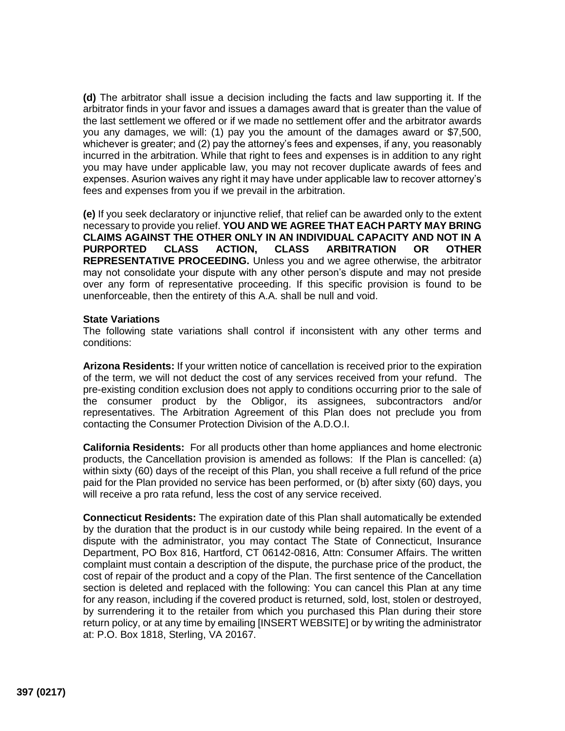**(d)** The arbitrator shall issue a decision including the facts and law supporting it. If the arbitrator finds in your favor and issues a damages award that is greater than the value of the last settlement we offered or if we made no settlement offer and the arbitrator awards you any damages, we will: (1) pay you the amount of the damages award or \$7,500, whichever is greater; and (2) pay the attorney's fees and expenses, if any, you reasonably incurred in the arbitration. While that right to fees and expenses is in addition to any right you may have under applicable law, you may not recover duplicate awards of fees and expenses. Asurion waives any right it may have under applicable law to recover attorney's fees and expenses from you if we prevail in the arbitration.

**(e)** If you seek declaratory or injunctive relief, that relief can be awarded only to the extent necessary to provide you relief. **YOU AND WE AGREE THAT EACH PARTY MAY BRING CLAIMS AGAINST THE OTHER ONLY IN AN INDIVIDUAL CAPACITY AND NOT IN A PURPORTED CLASS ACTION, CLASS ARBITRATION OR OTHER REPRESENTATIVE PROCEEDING.** Unless you and we agree otherwise, the arbitrator may not consolidate your dispute with any other person's dispute and may not preside over any form of representative proceeding. If this specific provision is found to be unenforceable, then the entirety of this A.A. shall be null and void.

## **State Variations**

The following state variations shall control if inconsistent with any other terms and conditions:

**Arizona Residents:** If your written notice of cancellation is received prior to the expiration of the term, we will not deduct the cost of any services received from your refund. The pre-existing condition exclusion does not apply to conditions occurring prior to the sale of the consumer product by the Obligor, its assignees, subcontractors and/or representatives. The Arbitration Agreement of this Plan does not preclude you from contacting the Consumer Protection Division of the A.D.O.I.

**California Residents:** For all products other than home appliances and home electronic products, the Cancellation provision is amended as follows: If the Plan is cancelled: (a) within sixty (60) days of the receipt of this Plan, you shall receive a full refund of the price paid for the Plan provided no service has been performed, or (b) after sixty (60) days, you will receive a pro rata refund, less the cost of any service received.

**Connecticut Residents:** The expiration date of this Plan shall automatically be extended by the duration that the product is in our custody while being repaired. In the event of a dispute with the administrator, you may contact The State of Connecticut, Insurance Department, PO Box 816, Hartford, CT 06142-0816, Attn: Consumer Affairs. The written complaint must contain a description of the dispute, the purchase price of the product, the cost of repair of the product and a copy of the Plan. The first sentence of the Cancellation section is deleted and replaced with the following: You can cancel this Plan at any time for any reason, including if the covered product is returned, sold, lost, stolen or destroyed, by surrendering it to the retailer from which you purchased this Plan during their store return policy, or at any time by emailing [INSERT WEBSITE] or by writing the administrator at: P.O. Box 1818, Sterling, VA 20167.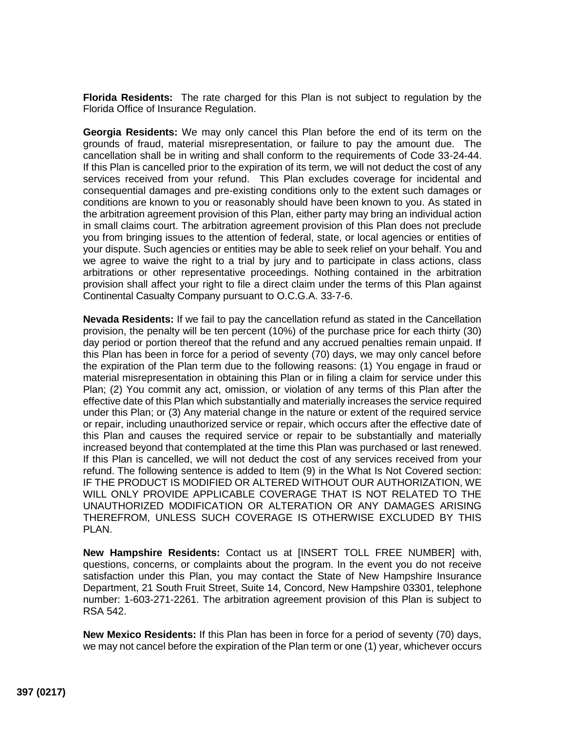**Florida Residents:** The rate charged for this Plan is not subject to regulation by the Florida Office of Insurance Regulation.

**Georgia Residents:** We may only cancel this Plan before the end of its term on the grounds of fraud, material misrepresentation, or failure to pay the amount due. The cancellation shall be in writing and shall conform to the requirements of Code 33-24-44. If this Plan is cancelled prior to the expiration of its term, we will not deduct the cost of any services received from your refund. This Plan excludes coverage for incidental and consequential damages and pre-existing conditions only to the extent such damages or conditions are known to you or reasonably should have been known to you. As stated in the arbitration agreement provision of this Plan, either party may bring an individual action in small claims court. The arbitration agreement provision of this Plan does not preclude you from bringing issues to the attention of federal, state, or local agencies or entities of your dispute. Such agencies or entities may be able to seek relief on your behalf. You and we agree to waive the right to a trial by jury and to participate in class actions, class arbitrations or other representative proceedings. Nothing contained in the arbitration provision shall affect your right to file a direct claim under the terms of this Plan against Continental Casualty Company pursuant to O.C.G.A. 33-7-6.

**Nevada Residents:** If we fail to pay the cancellation refund as stated in the Cancellation provision, the penalty will be ten percent (10%) of the purchase price for each thirty (30) day period or portion thereof that the refund and any accrued penalties remain unpaid. If this Plan has been in force for a period of seventy (70) days, we may only cancel before the expiration of the Plan term due to the following reasons: (1) You engage in fraud or material misrepresentation in obtaining this Plan or in filing a claim for service under this Plan; (2) You commit any act, omission, or violation of any terms of this Plan after the effective date of this Plan which substantially and materially increases the service required under this Plan; or (3) Any material change in the nature or extent of the required service or repair, including unauthorized service or repair, which occurs after the effective date of this Plan and causes the required service or repair to be substantially and materially increased beyond that contemplated at the time this Plan was purchased or last renewed. If this Plan is cancelled, we will not deduct the cost of any services received from your refund. The following sentence is added to Item (9) in the What Is Not Covered section: IF THE PRODUCT IS MODIFIED OR ALTERED WITHOUT OUR AUTHORIZATION, WE WILL ONLY PROVIDE APPLICABLE COVERAGE THAT IS NOT RELATED TO THE UNAUTHORIZED MODIFICATION OR ALTERATION OR ANY DAMAGES ARISING THEREFROM, UNLESS SUCH COVERAGE IS OTHERWISE EXCLUDED BY THIS PLAN.

**New Hampshire Residents:** Contact us at [INSERT TOLL FREE NUMBER] with, questions, concerns, or complaints about the program. In the event you do not receive satisfaction under this Plan, you may contact the State of New Hampshire Insurance Department, 21 South Fruit Street, Suite 14, Concord, New Hampshire 03301, telephone number: 1-603-271-2261. The arbitration agreement provision of this Plan is subject to RSA 542.

**New Mexico Residents:** If this Plan has been in force for a period of seventy (70) days, we may not cancel before the expiration of the Plan term or one (1) year, whichever occurs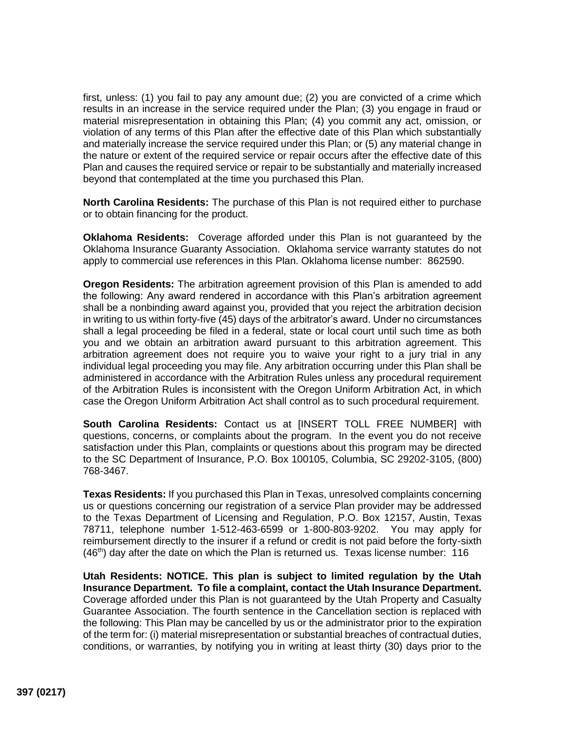first, unless: (1) you fail to pay any amount due; (2) you are convicted of a crime which results in an increase in the service required under the Plan; (3) you engage in fraud or material misrepresentation in obtaining this Plan; (4) you commit any act, omission, or violation of any terms of this Plan after the effective date of this Plan which substantially and materially increase the service required under this Plan; or (5) any material change in the nature or extent of the required service or repair occurs after the effective date of this Plan and causes the required service or repair to be substantially and materially increased beyond that contemplated at the time you purchased this Plan.

**North Carolina Residents:** The purchase of this Plan is not required either to purchase or to obtain financing for the product.

**Oklahoma Residents:** Coverage afforded under this Plan is not guaranteed by the Oklahoma Insurance Guaranty Association. Oklahoma service warranty statutes do not apply to commercial use references in this Plan. Oklahoma license number: 862590.

**Oregon Residents:** The arbitration agreement provision of this Plan is amended to add the following: Any award rendered in accordance with this Plan's arbitration agreement shall be a nonbinding award against you, provided that you reject the arbitration decision in writing to us within forty-five (45) days of the arbitrator's award. Under no circumstances shall a legal proceeding be filed in a federal, state or local court until such time as both you and we obtain an arbitration award pursuant to this arbitration agreement. This arbitration agreement does not require you to waive your right to a jury trial in any individual legal proceeding you may file. Any arbitration occurring under this Plan shall be administered in accordance with the Arbitration Rules unless any procedural requirement of the Arbitration Rules is inconsistent with the Oregon Uniform Arbitration Act, in which case the Oregon Uniform Arbitration Act shall control as to such procedural requirement.

**South Carolina Residents:** Contact us at [INSERT TOLL FREE NUMBER] with questions, concerns, or complaints about the program. In the event you do not receive satisfaction under this Plan, complaints or questions about this program may be directed to the SC Department of Insurance, P.O. Box 100105, Columbia, SC 29202-3105, (800) 768-3467.

**Texas Residents:** If you purchased this Plan in Texas, unresolved complaints concerning us or questions concerning our registration of a service Plan provider may be addressed to the Texas Department of Licensing and Regulation, P.O. Box 12157, Austin, Texas 78711, telephone number 1-512-463-6599 or 1-800-803-9202. You may apply for reimbursement directly to the insurer if a refund or credit is not paid before the forty-sixth  $(46<sup>th</sup>)$  day after the date on which the Plan is returned us. Texas license number: 116

**Utah Residents: NOTICE. This plan is subject to limited regulation by the Utah Insurance Department. To file a complaint, contact the Utah Insurance Department.**  Coverage afforded under this Plan is not guaranteed by the Utah Property and Casualty Guarantee Association. The fourth sentence in the Cancellation section is replaced with the following: This Plan may be cancelled by us or the administrator prior to the expiration of the term for: (i) material misrepresentation or substantial breaches of contractual duties, conditions, or warranties, by notifying you in writing at least thirty (30) days prior to the